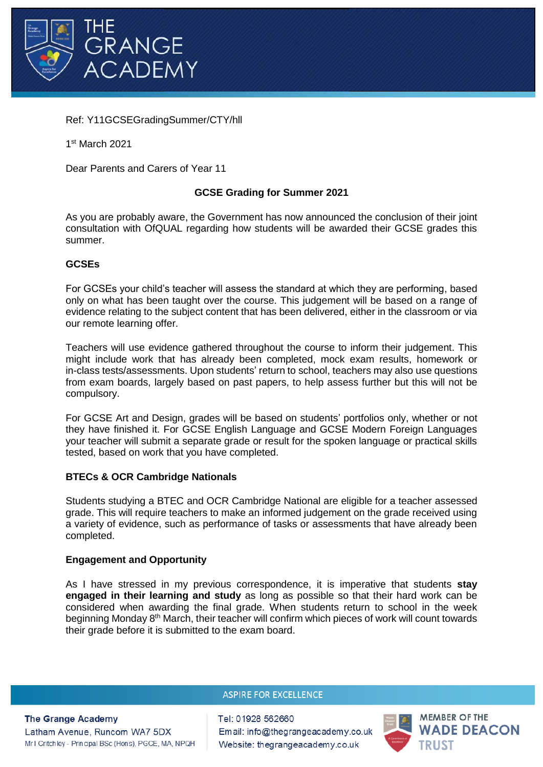

# Ref: Y11GCSEGradingSummer/CTY/hll

1 st March 2021

Dear Parents and Carers of Year 11

# **GCSE Grading for Summer 2021**

As you are probably aware, the Government has now announced the conclusion of their joint consultation with OfQUAL regarding how students will be awarded their GCSE grades this summer.

### **GCSEs**

For GCSEs your child's teacher will assess the standard at which they are performing, based only on what has been taught over the course. This judgement will be based on a range of evidence relating to the subject content that has been delivered, either in the classroom or via our remote learning offer.

Teachers will use evidence gathered throughout the course to inform their judgement. This might include work that has already been completed, mock exam results, homework or in-class tests/assessments. Upon students' return to school, teachers may also use questions from exam boards, largely based on past papers, to help assess further but this will not be compulsory.

For GCSE Art and Design, grades will be based on students' portfolios only, whether or not they have finished it. For GCSE English Language and GCSE Modern Foreign Languages your teacher will submit a separate grade or result for the spoken language or practical skills tested, based on work that you have completed.

### **BTECs & OCR Cambridge Nationals**

Students studying a BTEC and OCR Cambridge National are eligible for a teacher assessed grade. This will require teachers to make an informed judgement on the grade received using a variety of evidence, such as performance of tasks or assessments that have already been completed.

### **Engagement and Opportunity**

As I have stressed in my previous correspondence, it is imperative that students **stay engaged in their learning and study** as long as possible so that their hard work can be considered when awarding the final grade. When students return to school in the week beginning Monday 8<sup>th</sup> March, their teacher will confirm which pieces of work will count towards their grade before it is submitted to the exam board.

### **ASPIRE FOR EXCELLENCE**

**The Grange Academy** Latham Avenue, Runcom WA7 5DX Mr I Critchley - Principal BSc (Hons), PGCE, MA, NPQH Tel: 01928 562660 Email: info@thegrangeacademy.co.uk Website: thegrangeacademy.co.uk